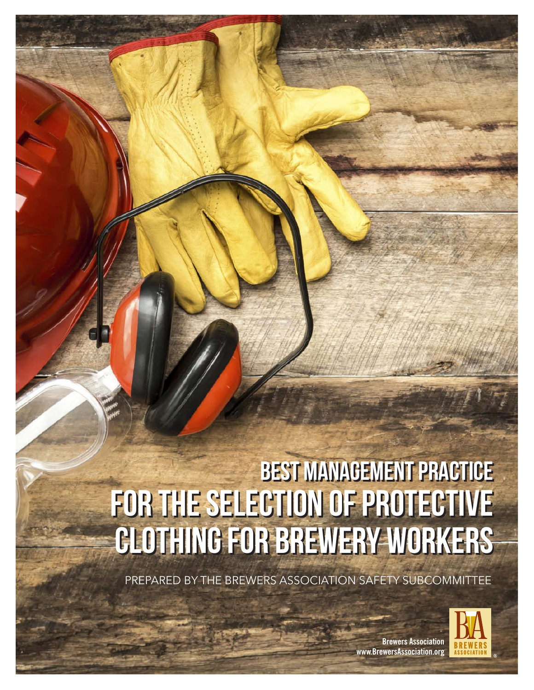# BEST MANAGEMENT PRACTICE BEST MANAGEMENT PRACTICE FOR THE SELECTION OF PROTECTIVE FOR THE SELECTION OF PROTECTIVE CLOTHING FOR BREWERY WORKERS CLOTHING FOR BREWERY WORKERS

PREPARED BY THE BREWERS ASSOCIATION SAFETY SUBCOMMITTEE



**Brewers Association www.BrewersAssociation.org**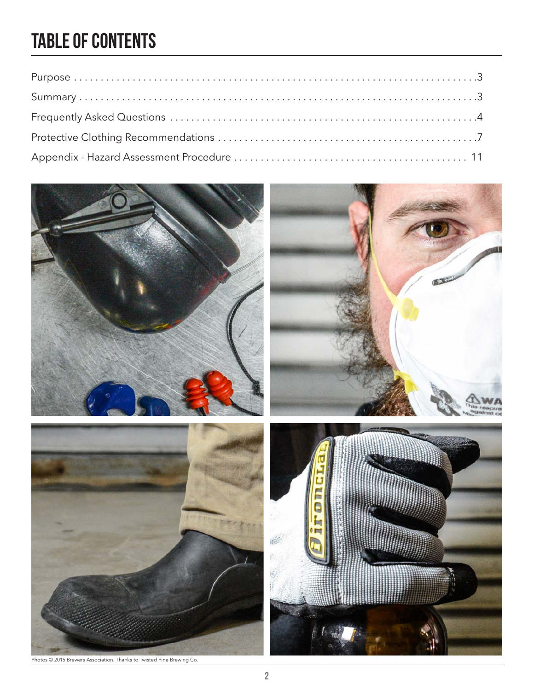## TABLE OF CONTENTS

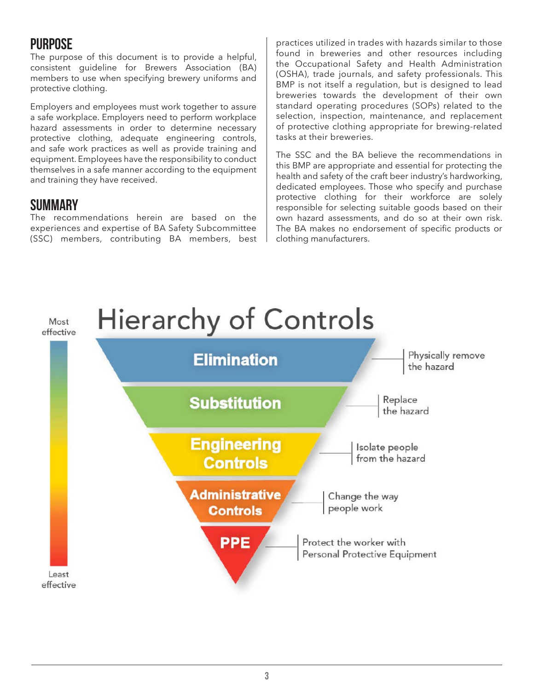### **PIIRPOSE**

The purpose of this document is to provide a helpful, consistent guideline for Brewers Association (BA) members to use when specifying brewery uniforms and protective clothing.

Employers and employees must work together to assure a safe workplace. Employers need to perform workplace hazard assessments in order to determine necessary protective clothing, adequate engineering controls, and safe work practices as well as provide training and equipment. Employees have the responsibility to conduct themselves in a safe manner according to the equipment and training they have received.

### SUMMARY

The recommendations herein are based on the experiences and expertise of BA Safety Subcommittee (SSC) members, contributing BA members, best

practices utilized in trades with hazards similar to those found in breweries and other resources including the Occupational Safety and Health Administration (OSHA), trade journals, and safety professionals. This BMP is not itself a regulation, but is designed to lead breweries towards the development of their own standard operating procedures (SOPs) related to the selection, inspection, maintenance, and replacement of protective clothing appropriate for brewing-related tasks at their breweries.

The SSC and the BA believe the recommendations in this BMP are appropriate and essential for protecting the health and safety of the craft beer industry's hardworking, dedicated employees. Those who specify and purchase protective clothing for their workforce are solely responsible for selecting suitable goods based on their own hazard assessments, and do so at their own risk. The BA makes no endorsement of specific products or clothing manufacturers.

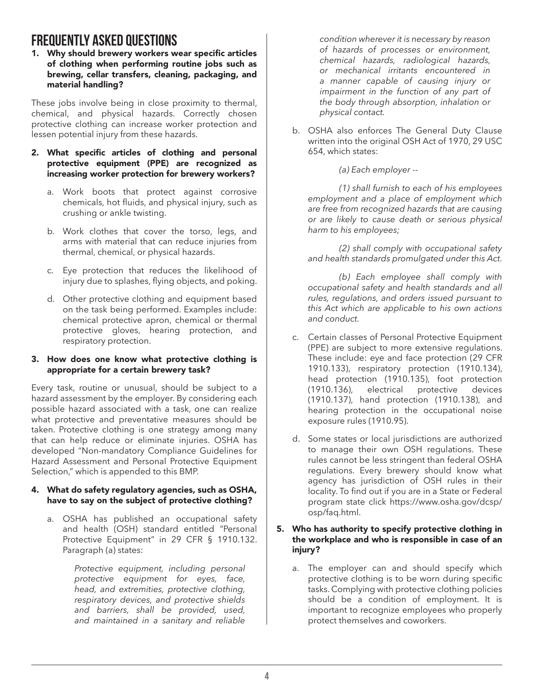### FREQUENTLY ASKED QUESTIONS

1. Why should brewery workers wear specific articles of clothing when performing routine jobs such as brewing, cellar transfers, cleaning, packaging, and material handling?

These jobs involve being in close proximity to thermal, chemical, and physical hazards. Correctly chosen protective clothing can increase worker protection and lessen potential injury from these hazards.

- 2. What specific articles of clothing and personal protective equipment (PPE) are recognized as increasing worker protection for brewery workers?
	- a. Work boots that protect against corrosive chemicals, hot fluids, and physical injury, such as crushing or ankle twisting.
	- b. Work clothes that cover the torso, legs, and arms with material that can reduce injuries from thermal, chemical, or physical hazards.
	- c. Eye protection that reduces the likelihood of injury due to splashes, flying objects, and poking.
	- d. Other protective clothing and equipment based on the task being performed. Examples include: chemical protective apron, chemical or thermal protective gloves, hearing protection, and respiratory protection.

### 3. How does one know what protective clothing is appropriate for a certain brewery task?

Every task, routine or unusual, should be subject to a hazard assessment by the employer. By considering each possible hazard associated with a task, one can realize what protective and preventative measures should be taken. Protective clothing is one strategy among many that can help reduce or eliminate injuries. OSHA has developed "Non-mandatory Compliance Guidelines for Hazard Assessment and Personal Protective Equipment Selection," which is appended to this BMP.

### 4. What do safety regulatory agencies, such as OSHA, have to say on the subject of protective clothing?

a. OSHA has published an occupational safety and health (OSH) standard entitled "Personal Protective Equipment" in 29 CFR § 1910.132. Paragraph (a) states:

> *Protective equipment, including personal protective equipment for eyes, face, head, and extremities, protective clothing, respiratory devices, and protective shields and barriers, shall be provided, used, and maintained in a sanitary and reliable*

*condition wherever it is necessary by reason of hazards of processes or environment, chemical hazards, radiological hazards, or mechanical irritants encountered in a manner capable of causing injury or impairment in the function of any part of the body through absorption, inhalation or physical contact.*

b. OSHA also enforces The General Duty Clause written into the original OSH Act of 1970, 29 USC 654, which states:

*(a) Each employer --*

*(1) shall furnish to each of his employees employment and a place of employment which are free from recognized hazards that are causing or are likely to cause death or serious physical harm to his employees;*

*(2) shall comply with occupational safety and health standards promulgated under this Act.*

*(b) Each employee shall comply with occupational safety and health standards and all rules, regulations, and orders issued pursuant to this Act which are applicable to his own actions and conduct.*

- c. Certain classes of Personal Protective Equipment (PPE) are subject to more extensive regulations. These include: eye and face protection (29 CFR 1910.133), respiratory protection (1910.134), head protection (1910.135), foot protection (1910.136), electrical protective devices (1910.137), hand protection (1910.138), and hearing protection in the occupational noise exposure rules (1910.95).
- d. Some states or local jurisdictions are authorized to manage their own OSH regulations. These rules cannot be less stringent than federal OSHA regulations. Every brewery should know what agency has jurisdiction of OSH rules in their locality. To find out if you are in a State or Federal program state click https://www.osha.gov/dcsp/ osp/faq.html.

#### 5. Who has authority to specify protective clothing in the workplace and who is responsible in case of an injury?

a. The employer can and should specify which protective clothing is to be worn during specific tasks. Complying with protective clothing policies should be a condition of employment. It is important to recognize employees who properly protect themselves and coworkers.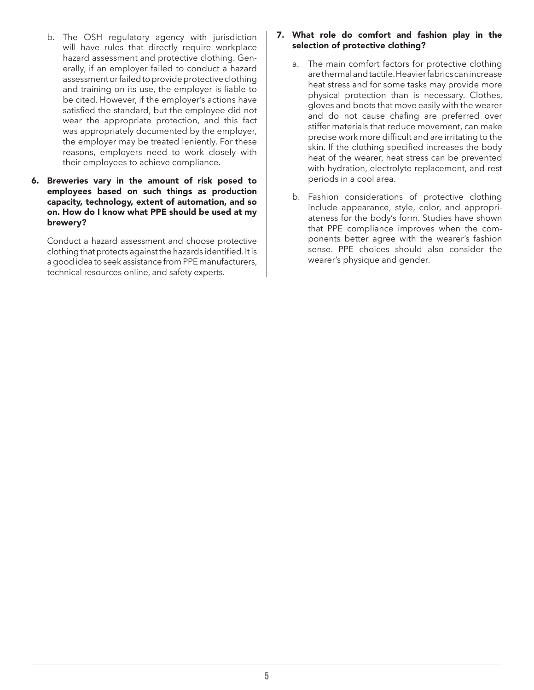- b. The OSH regulatory agency with jurisdiction will have rules that directly require workplace hazard assessment and protective clothing. Generally, if an employer failed to conduct a hazard assessment or failed to provide protective clothing and training on its use, the employer is liable to be cited. However, if the employer's actions have satisfied the standard, but the employee did not wear the appropriate protection, and this fact was appropriately documented by the employer, the employer may be treated leniently. For these reasons, employers need to work closely with their employees to achieve compliance.
- 6. Breweries vary in the amount of risk posed to employees based on such things as production capacity, technology, extent of automation, and so on. How do I know what PPE should be used at my brewery?

Conduct a hazard assessment and choose protective clothing that protects against the hazards identified. It is a good idea to seek assistance from PPE manufacturers, technical resources online, and safety experts.

#### 7. What role do comfort and fashion play in the selection of protective clothing?

- a. The main comfort factors for protective clothing are thermal and tactile. Heavier fabrics can increase heat stress and for some tasks may provide more physical protection than is necessary. Clothes, gloves and boots that move easily with the wearer and do not cause chafing are preferred over stiffer materials that reduce movement, can make precise work more difficult and are irritating to the skin. If the clothing specified increases the body heat of the wearer, heat stress can be prevented with hydration, electrolyte replacement, and rest periods in a cool area.
- b. Fashion considerations of protective clothing include appearance, style, color, and appropriateness for the body's form. Studies have shown that PPE compliance improves when the components better agree with the wearer's fashion sense. PPE choices should also consider the wearer's physique and gender.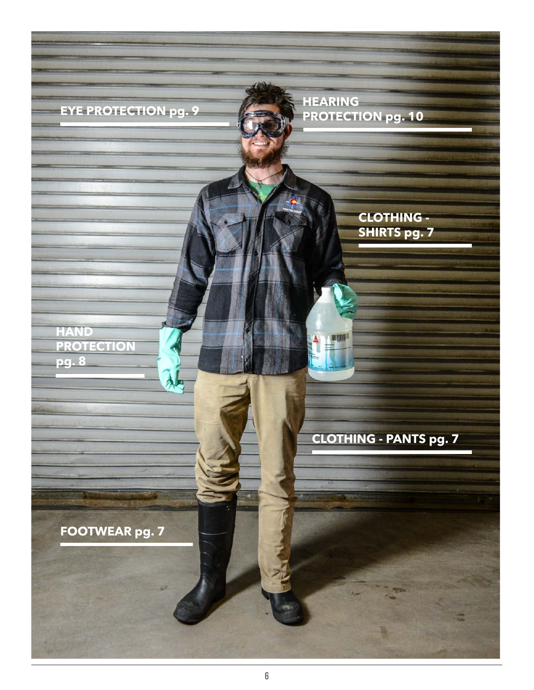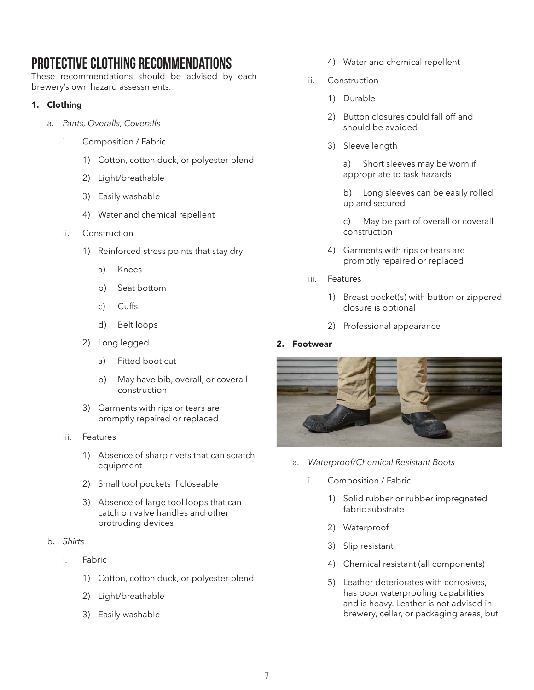### PROTECTIVE CLOTHING RECOMMENDATIONS

These recommendations should be advised by each brewery's own hazard assessments.

### 1. Clothing

- a. *Pants, Overalls, Coveralls*
	- i. Composition / Fabric
		- 1) Cotton, cotton duck, or polyester blend
		- 2) Light/breathable
		- 3) Easily washable
		- 4) Water and chemical repellent
	- ii. Construction
		- 1) Reinforced stress points that stay dry
			- a) Knees
			- b) Seat bottom
			- c) Cuffs
			- d) Belt loops
		- 2) Long legged
			- a) Fitted boot cut
			- b) May have bib, overall, or coverall construction
		- 3) Garments with rips or tears are promptly repaired or replaced
	- iii. Features
		- 1) Absence of sharp rivets that can scratch equipment
		- 2) Small tool pockets if closeable
		- 3) Absence of large tool loops that can catch on valve handles and other protruding devices
- b. *Shirts*
	- i. Fabric
		- 1) Cotton, cotton duck, or polyester blend
		- 2) Light/breathable
		- 3) Easily washable
- 4) Water and chemical repellent
- ii. Construction
	- 1) Durable
	- 2) Button closures could fall off and should be avoided
	- 3) Sleeve length

a) Short sleeves may be worn if appropriate to task hazards

b) Long sleeves can be easily rolled up and secured

c) May be part of overall or coverall construction

- 4) Garments with rips or tears are promptly repaired or replaced
- iii. Features
	- 1) Breast pocket(s) with button or zippered closure is optional
	- 2) Professional appearance

#### 2. Footwear



- a. *Waterproof/Chemical Resistant Boots*
	- i. Composition / Fabric
		- 1) Solid rubber or rubber impregnated fabric substrate
		- 2) Waterproof
		- 3) Slip resistant
		- 4) Chemical resistant (all components)
		- 5) Leather deteriorates with corrosives, has poor waterproofing capabilities and is heavy. Leather is not advised in brewery, cellar, or packaging areas, but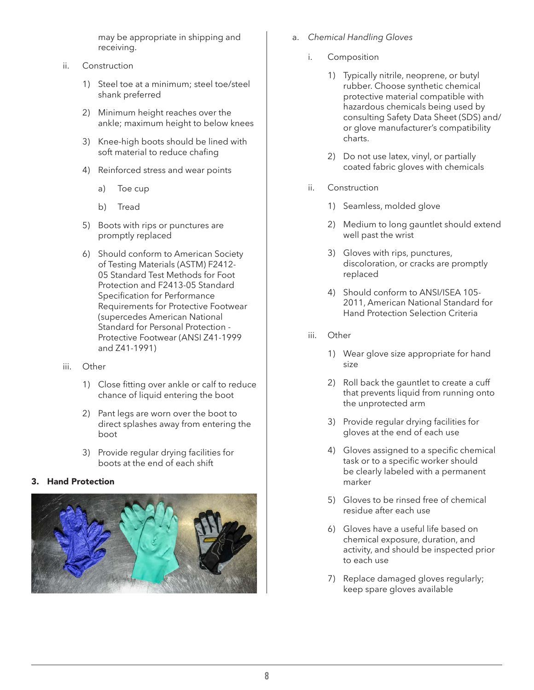may be appropriate in shipping and receiving.

- ii. Construction
	- 1) Steel toe at a minimum; steel toe/steel shank preferred
	- 2) Minimum height reaches over the ankle; maximum height to below knees
	- 3) Knee-high boots should be lined with soft material to reduce chafing
	- 4) Reinforced stress and wear points
		- a) Toe cup
		- b) Tread
	- 5) Boots with rips or punctures are promptly replaced
	- 6) Should conform to American Society of Testing Materials (ASTM) F2412- 05 Standard Test Methods for Foot Protection and F2413-05 Standard Specification for Performance Requirements for Protective Footwear (supercedes American National Standard for Personal Protection - Protective Footwear (ANSI Z41-1999 and Z41-1991)
- iii. Other
	- 1) Close fitting over ankle or calf to reduce chance of liquid entering the boot
	- 2) Pant legs are worn over the boot to direct splashes away from entering the boot
	- 3) Provide regular drying facilities for boots at the end of each shift

### 3. Hand Protection



- a. *Chemical Handling Gloves*
	- i. Composition
		- 1) Typically nitrile, neoprene, or butyl rubber. Choose synthetic chemical protective material compatible with hazardous chemicals being used by consulting Safety Data Sheet (SDS) and/ or glove manufacturer's compatibility charts.
		- 2) Do not use latex, vinyl, or partially coated fabric gloves with chemicals
	- ii. Construction
		- 1) Seamless, molded glove
		- 2) Medium to long gauntlet should extend well past the wrist
		- 3) Gloves with rips, punctures, discoloration, or cracks are promptly replaced
		- 4) Should conform to ANSI/ISEA 105- 2011, American National Standard for Hand Protection Selection Criteria
	- iii. Other
		- 1) Wear glove size appropriate for hand size
		- 2) Roll back the gauntlet to create a cuff that prevents liquid from running onto the unprotected arm
		- 3) Provide regular drying facilities for gloves at the end of each use
		- 4) Gloves assigned to a specific chemical task or to a specific worker should be clearly labeled with a permanent marker
		- 5) Gloves to be rinsed free of chemical residue after each use
		- 6) Gloves have a useful life based on chemical exposure, duration, and activity, and should be inspected prior to each use
		- 7) Replace damaged gloves regularly; keep spare gloves available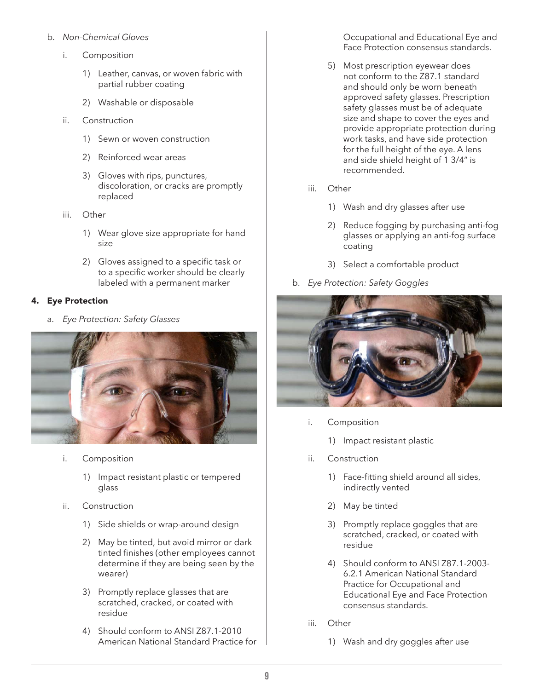### b. *Non-Chemical Gloves*

- i. Composition
	- 1) Leather, canvas, or woven fabric with partial rubber coating
	- 2) Washable or disposable
- ii. Construction
	- 1) Sewn or woven construction
	- 2) Reinforced wear areas
	- 3) Gloves with rips, punctures, discoloration, or cracks are promptly replaced
- iii. Other
	- 1) Wear glove size appropriate for hand size
	- 2) Gloves assigned to a specific task or to a specific worker should be clearly labeled with a permanent marker

### **Eye Protection**

a. *Eye Protection: Safety Glasses*



- i. Composition
	- 1) Impact resistant plastic or tempered glass
- ii. Construction
	- 1) Side shields or wrap-around design
	- 2) May be tinted, but avoid mirror or dark tinted finishes (other employees cannot determine if they are being seen by the wearer)
	- 3) Promptly replace glasses that are scratched, cracked, or coated with residue
	- 4) Should conform to ANSI Z87.1-2010 American National Standard Practice for

Occupational and Educational Eye and Face Protection consensus standards.

- 5) Most prescription eyewear does not conform to the Z87.1 standard and should only be worn beneath approved safety glasses. Prescription safety glasses must be of adequate size and shape to cover the eyes and provide appropriate protection during work tasks, and have side protection for the full height of the eye. A lens and side shield height of 1 3/4" is recommended.
- iii. Other
	- 1) Wash and dry glasses after use
	- 2) Reduce fogging by purchasing anti-fog glasses or applying an anti-fog surface coating
	- 3) Select a comfortable product
- b. *Eye Protection: Safety Goggles*



- i. Composition
	- 1) Impact resistant plastic
- ii. Construction
	- 1) Face-fitting shield around all sides, indirectly vented
	- 2) May be tinted
	- 3) Promptly replace goggles that are scratched, cracked, or coated with residue
	- 4) Should conform to ANSI Z87.1-2003- 6.2.1 American National Standard Practice for Occupational and Educational Eye and Face Protection consensus standards.
- iii. Other
	- 1) Wash and dry goggles after use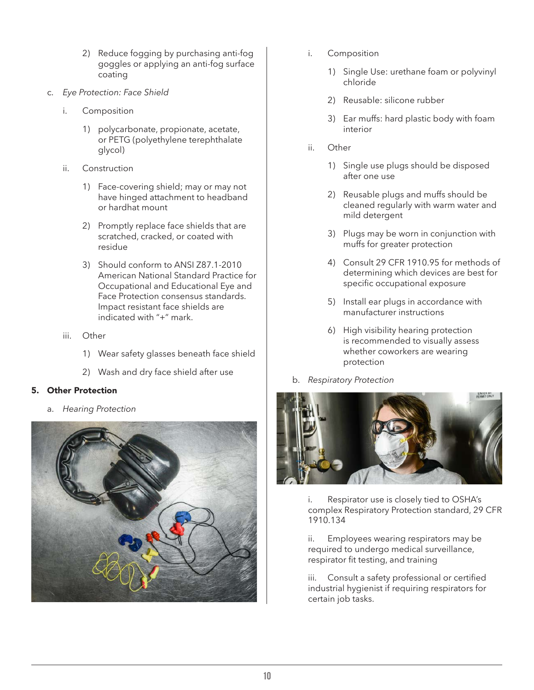- 2) Reduce fogging by purchasing anti-fog goggles or applying an anti-fog surface coating
- c. *Eye Protection: Face Shield*
	- i. Composition
		- 1) polycarbonate, propionate, acetate, or PETG (polyethylene terephthalate glycol)
	- ii. Construction
		- 1) Face-covering shield; may or may not have hinged attachment to headband or hardhat mount
		- 2) Promptly replace face shields that are scratched, cracked, or coated with residue
		- 3) Should conform to ANSI Z87.1-2010 American National Standard Practice for Occupational and Educational Eye and Face Protection consensus standards. Impact resistant face shields are indicated with "+" mark.
	- iii. Other
		- 1) Wear safety glasses beneath face shield
		- 2) Wash and dry face shield after use

### 5. Other Protection

a. *Hearing Protection*



- i. Composition
	- 1) Single Use: urethane foam or polyvinyl chloride
	- 2) Reusable: silicone rubber
	- 3) Ear muffs: hard plastic body with foam interior
- ii. Other
	- 1) Single use plugs should be disposed after one use
	- 2) Reusable plugs and muffs should be cleaned regularly with warm water and mild detergent
	- 3) Plugs may be worn in conjunction with muffs for greater protection
	- 4) Consult 29 CFR 1910.95 for methods of determining which devices are best for specific occupational exposure
	- 5) Install ear plugs in accordance with manufacturer instructions
	- 6) High visibility hearing protection is recommended to visually assess whether coworkers are wearing protection
- b. *Respiratory Protection*



i. Respirator use is closely tied to OSHA's complex Respiratory Protection standard, 29 CFR 1910.134

ii. Employees wearing respirators may be required to undergo medical surveillance, respirator fit testing, and training

iii. Consult a safety professional or certified industrial hygienist if requiring respirators for certain job tasks.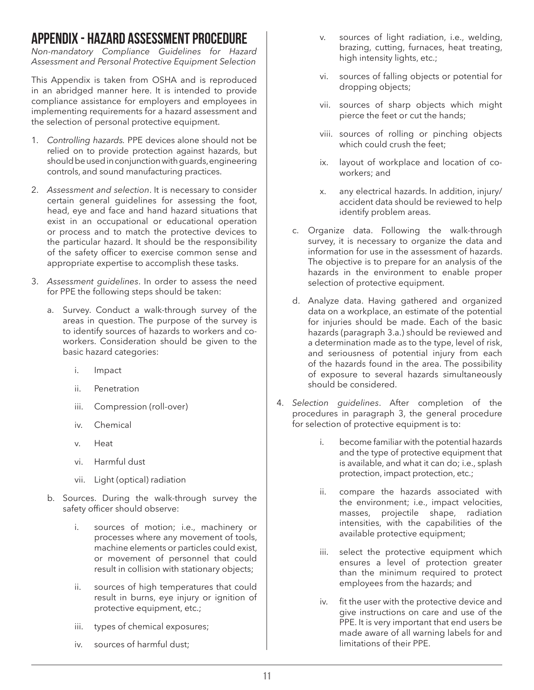### APPENDIX - HAZARD ASSESSMENT PROCEDURE

*Non-mandatory Compliance Guidelines for Hazard Assessment and Personal Protective Equipment Selection*

This Appendix is taken from OSHA and is reproduced in an abridged manner here. It is intended to provide compliance assistance for employers and employees in implementing requirements for a hazard assessment and the selection of personal protective equipment.

- 1. *Controlling hazards.* PPE devices alone should not be relied on to provide protection against hazards, but should be used in conjunction with guards, engineering controls, and sound manufacturing practices.
- 2. *Assessment and selection*. It is necessary to consider certain general guidelines for assessing the foot, head, eye and face and hand hazard situations that exist in an occupational or educational operation or process and to match the protective devices to the particular hazard. It should be the responsibility of the safety officer to exercise common sense and appropriate expertise to accomplish these tasks.
- 3. *Assessment guidelines*. In order to assess the need for PPE the following steps should be taken:
	- a. Survey. Conduct a walk-through survey of the areas in question. The purpose of the survey is to identify sources of hazards to workers and coworkers. Consideration should be given to the basic hazard categories:
		- i. Impact
		- ii. Penetration
		- iii. Compression (roll-over)
		- iv. Chemical
		- v. Heat
		- vi. Harmful dust
		- vii. Light (optical) radiation
	- b. Sources. During the walk-through survey the safety officer should observe:
		- i. sources of motion; i.e., machinery or processes where any movement of tools, machine elements or particles could exist, or movement of personnel that could result in collision with stationary objects;
		- ii. sources of high temperatures that could result in burns, eye injury or ignition of protective equipment, etc.;
		- iii. types of chemical exposures;
		- iv. sources of harmful dust;
- v. sources of light radiation, i.e., welding, brazing, cutting, furnaces, heat treating, high intensity lights, etc.;
- vi. sources of falling objects or potential for dropping objects;
- vii. sources of sharp objects which might pierce the feet or cut the hands;
- viii. sources of rolling or pinching objects which could crush the feet;
- ix. layout of workplace and location of coworkers; and
- x. any electrical hazards. In addition, injury/ accident data should be reviewed to help identify problem areas.
- c. Organize data. Following the walk-through survey, it is necessary to organize the data and information for use in the assessment of hazards. The objective is to prepare for an analysis of the hazards in the environment to enable proper selection of protective equipment.
- d. Analyze data. Having gathered and organized data on a workplace, an estimate of the potential for injuries should be made. Each of the basic hazards (paragraph 3.a.) should be reviewed and a determination made as to the type, level of risk, and seriousness of potential injury from each of the hazards found in the area. The possibility of exposure to several hazards simultaneously should be considered.
- 4. *Selection guidelines*. After completion of the procedures in paragraph 3, the general procedure for selection of protective equipment is to:
	- i. become familiar with the potential hazards and the type of protective equipment that is available, and what it can do; i.e., splash protection, impact protection, etc.;
	- ii. compare the hazards associated with the environment; i.e., impact velocities, masses, projectile shape, radiation intensities, with the capabilities of the available protective equipment;
	- iii. select the protective equipment which ensures a level of protection greater than the minimum required to protect employees from the hazards; and
	- iv. fit the user with the protective device and give instructions on care and use of the PPE. It is very important that end users be made aware of all warning labels for and limitations of their PPE.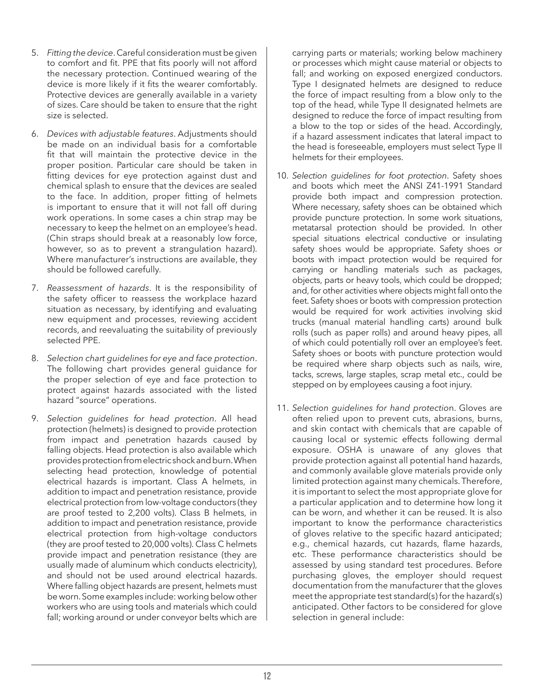- 5. *Fitting the device*. Careful consideration must be given to comfort and fit. PPE that fits poorly will not afford the necessary protection. Continued wearing of the device is more likely if it fits the wearer comfortably. Protective devices are generally available in a variety of sizes. Care should be taken to ensure that the right size is selected.
- 6. *Devices with adjustable features*. Adjustments should be made on an individual basis for a comfortable fit that will maintain the protective device in the proper position. Particular care should be taken in fitting devices for eye protection against dust and chemical splash to ensure that the devices are sealed to the face. In addition, proper fitting of helmets is important to ensure that it will not fall off during work operations. In some cases a chin strap may be necessary to keep the helmet on an employee's head. (Chin straps should break at a reasonably low force, however, so as to prevent a strangulation hazard). Where manufacturer's instructions are available, they should be followed carefully.
- 7. *Reassessment of hazards*. It is the responsibility of the safety officer to reassess the workplace hazard situation as necessary, by identifying and evaluating new equipment and processes, reviewing accident records, and reevaluating the suitability of previously selected PPE.
- 8. *Selection chart guidelines for eye and face protection*. The following chart provides general guidance for the proper selection of eye and face protection to protect against hazards associated with the listed hazard "source" operations.
- 9. *Selection guidelines for head protection*. All head protection (helmets) is designed to provide protection from impact and penetration hazards caused by falling objects. Head protection is also available which provides protection from electric shock and burn.When selecting head protection, knowledge of potential electrical hazards is important. Class A helmets, in addition to impact and penetration resistance, provide electrical protection from low-voltage conductors (they are proof tested to 2,200 volts). Class B helmets, in addition to impact and penetration resistance, provide electrical protection from high-voltage conductors (they are proof tested to 20,000 volts). Class C helmets provide impact and penetration resistance (they are usually made of aluminum which conducts electricity), and should not be used around electrical hazards. Where falling object hazards are present, helmets must be worn.Some examples include: working below other workers who are using tools and materials which could fall; working around or under conveyor belts which are

carrying parts or materials; working below machinery or processes which might cause material or objects to fall; and working on exposed energized conductors. Type I designated helmets are designed to reduce the force of impact resulting from a blow only to the top of the head, while Type II designated helmets are designed to reduce the force of impact resulting from a blow to the top or sides of the head. Accordingly, if a hazard assessment indicates that lateral impact to the head is foreseeable, employers must select Type II helmets for their employees.

- 10. *Selection guidelines for foot protection*. Safety shoes and boots which meet the ANSI Z41-1991 Standard provide both impact and compression protection. Where necessary, safety shoes can be obtained which provide puncture protection. In some work situations, metatarsal protection should be provided. In other special situations electrical conductive or insulating safety shoes would be appropriate. Safety shoes or boots with impact protection would be required for carrying or handling materials such as packages, objects, parts or heavy tools, which could be dropped; and, for other activities where objects might fall onto the feet. Safety shoes or boots with compression protection would be required for work activities involving skid trucks (manual material handling carts) around bulk rolls (such as paper rolls) and around heavy pipes, all of which could potentially roll over an employee's feet. Safety shoes or boots with puncture protection would be required where sharp objects such as nails, wire, tacks, screws, large staples, scrap metal etc., could be stepped on by employees causing a foot injury.
- 11. *Selection guidelines for hand protectio*n. Gloves are often relied upon to prevent cuts, abrasions, burns, and skin contact with chemicals that are capable of causing local or systemic effects following dermal exposure. OSHA is unaware of any gloves that provide protection against all potential hand hazards, and commonly available glove materials provide only limited protection against many chemicals. Therefore, it is important to select the most appropriate glove for a particular application and to determine how long it can be worn, and whether it can be reused. It is also important to know the performance characteristics of gloves relative to the specific hazard anticipated; e.g., chemical hazards, cut hazards, flame hazards, etc. These performance characteristics should be assessed by using standard test procedures. Before purchasing gloves, the employer should request documentation from the manufacturer that the gloves meet the appropriate test standard(s) for the hazard(s) anticipated. Other factors to be considered for glove selection in general include: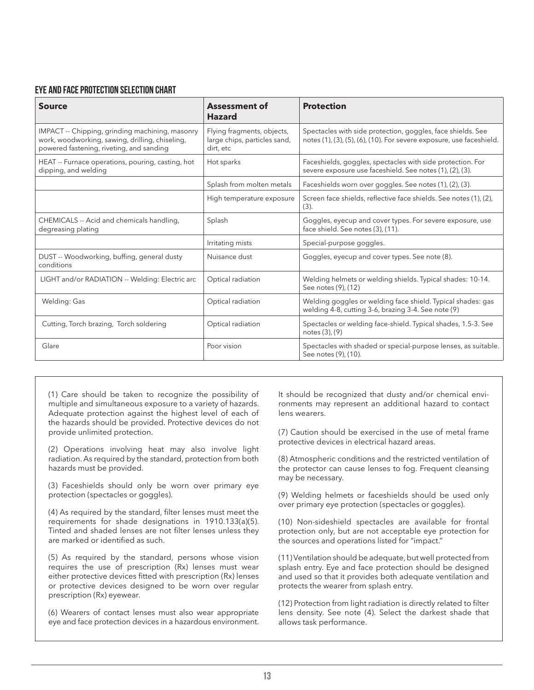#### Eye and Face Protection Selection Chart

| <b>Source</b>                                                                                                                                  | <b>Assessment of</b><br><b>Hazard</b>                                   | <b>Protection</b>                                                                                                                                  |
|------------------------------------------------------------------------------------------------------------------------------------------------|-------------------------------------------------------------------------|----------------------------------------------------------------------------------------------------------------------------------------------------|
| IMPACT -- Chipping, grinding machining, masonry<br>work, woodworking, sawing, drilling, chiseling,<br>powered fastening, riveting, and sanding | Flying fragments, objects,<br>large chips, particles sand,<br>dirt, etc | Spectacles with side protection, goggles, face shields. See<br>notes $(1)$ , $(3)$ , $(5)$ , $(6)$ , $(10)$ . For severe exposure, use faceshield. |
| HEAT -- Furnace operations, pouring, casting, hot<br>dipping, and welding                                                                      | Hot sparks                                                              | Faceshields, goggles, spectacles with side protection. For<br>severe exposure use faceshield. See notes (1), (2), (3).                             |
|                                                                                                                                                | Splash from molten metals                                               | Faceshields worn over goggles. See notes (1), (2), (3).                                                                                            |
|                                                                                                                                                | High temperature exposure                                               | Screen face shields, reflective face shields. See notes (1), (2),<br>(3).                                                                          |
| CHEMICALS -- Acid and chemicals handling,<br>degreasing plating                                                                                | Splash                                                                  | Goggles, eyecup and cover types. For severe exposure, use<br>face shield. See notes (3), (11).                                                     |
|                                                                                                                                                | Irritating mists                                                        | Special-purpose goggles.                                                                                                                           |
| DUST -- Woodworking, buffing, general dusty<br>conditions                                                                                      | Nuisance dust                                                           | Goggles, eyecup and cover types. See note (8).                                                                                                     |
| LIGHT and/or RADIATION -- Welding: Electric arc                                                                                                | Optical radiation                                                       | Welding helmets or welding shields. Typical shades: 10-14.<br>See notes (9), (12)                                                                  |
| Welding: Gas                                                                                                                                   | Optical radiation                                                       | Welding goggles or welding face shield. Typical shades: gas<br>welding 4-8, cutting 3-6, brazing 3-4. See note (9)                                 |
| Cutting, Torch brazing, Torch soldering                                                                                                        | Optical radiation                                                       | Spectacles or welding face-shield. Typical shades, 1.5-3. See<br>notes (3), (9)                                                                    |
| Glare                                                                                                                                          | Poor vision                                                             | Spectacles with shaded or special-purpose lenses, as suitable.<br>See notes (9), (10).                                                             |

(1) Care should be taken to recognize the possibility of multiple and simultaneous exposure to a variety of hazards. Adequate protection against the highest level of each of the hazards should be provided. Protective devices do not provide unlimited protection.

(2) Operations involving heat may also involve light radiation. As required by the standard, protection from both hazards must be provided.

(3) Faceshields should only be worn over primary eye protection (spectacles or goggles).

(4) As required by the standard, filter lenses must meet the requirements for shade designations in 1910.133(a)(5). Tinted and shaded lenses are not filter lenses unless they are marked or identified as such.

(5) As required by the standard, persons whose vision requires the use of prescription (Rx) lenses must wear either protective devices fitted with prescription (Rx) lenses or protective devices designed to be worn over regular prescription (Rx) eyewear.

(6) Wearers of contact lenses must also wear appropriate eye and face protection devices in a hazardous environment.

It should be recognized that dusty and/or chemical environments may represent an additional hazard to contact lens wearers.

(7) Caution should be exercised in the use of metal frame protective devices in electrical hazard areas.

(8) Atmospheric conditions and the restricted ventilation of the protector can cause lenses to fog. Frequent cleansing may be necessary.

(9) Welding helmets or faceshields should be used only over primary eye protection (spectacles or goggles).

(10) Non-sideshield spectacles are available for frontal protection only, but are not acceptable eye protection for the sources and operations listed for "impact."

(11) Ventilation should be adequate, but well protected from splash entry. Eye and face protection should be designed and used so that it provides both adequate ventilation and protects the wearer from splash entry.

(12) Protection from light radiation is directly related to filter lens density. See note (4). Select the darkest shade that allows task performance.